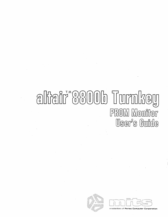# altair<sup>m</sup>ooomb Turnkey PROM Monitor User's Guide



**artec Computer Corporation**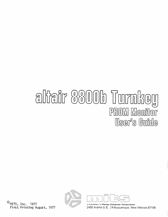# altair ooOob Turnkey PROM Monitor User's Guide



 $\mathcal{R}_{\text{total}}^{\text{MSE}}$ 

a subsidiary of Pertec Computer Corporation 2450 Alamo S.E. /Albuquerque, New Mexico 87106

 $^{\omega}$ MITS, Inc. 1977 First Printing August, 1977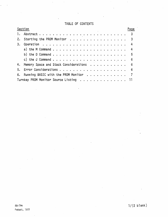# TABLE OF CONTENTS

 $\hat{\mathcal{A}}$ 

 $\ddot{\phantom{0}}$ 

 $\bar{\rm s}$ 

|                | Section                                  | Page |
|----------------|------------------------------------------|------|
| $\mathbf{1}$ . |                                          |      |
|                | 2. Starting the PROM Monitor 3           |      |
| 3.             |                                          |      |
|                |                                          |      |
|                |                                          |      |
|                |                                          |      |
| 4.             | Memory Space and Stack Considerations 6  |      |
| 5.             |                                          |      |
|                | 6. Running BASIC with the PROM Monitor 7 |      |
|                | Turnkey PROM Monitor Source Listing 11   |      |

 $\ddot{\phantom{0}}$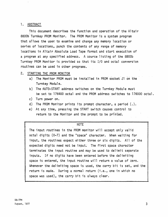#### 1. ABSTRACT

This document describes the function and operation of the Altair 8800b Turnkey PROM Monitor. The PROM Monitor is a system program that allows the user. to examine and change any memory location or series of locations, punch the contents of any range of memory locations in Altair Absolute Load Tape format and start execution of a program at any specified address. A source listing of the 8800b Turnkey PROM Monitor is provided so that its I/O and octal conversion routines can be used in other programs.

#### 2. STARTING THE PROM MONITOR

- a) The Monitor PROM must be installed in PROM socket Jl on the Turnkey Module.
- b) The AUTO-START address switches on the Turnkey Module must be set to 176400 octal and the PROM address switches to 176000 octal.
- c) Turn power on.
- d) The PROM Monitor prints its prompt character, a period  $(.)$ .
- e) At any time, pressing the START switch causes control to return to the Monitor and the prompt to be printed.

#### NOTE

The input routines in the PROM monitor will accept only valid octal digits (0-7) and the "space" character. When waiting for input, the routines expect either three or six digits. All of the expected digits need not be input. The first space character terminates the input routine and may be used to delimit separate inputs. If no digits have been entered before the delimiting space is entered, the input routine will return a value of zero. Whenever the delimiting space is used, the carry bit is set, and the return is made. During a normal return (i.e., one in which no space was used), the carry bit is always clear.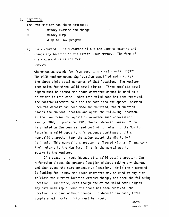#### 3. OPERATION

The'Prom Monitor has three commands:

M Memory examine and change

o Memory dump

J

Jump to user program

a) The M command. The M command allows the user to examine and change any location in the Altair 8800b memory. The form of the M command is as follows:

#### Mxxxxxx

where xxxxxx stands for from zero to six valid octal digits. The PROM Monitor opens the location specified and displays the three digit octal contents of that location. The Monitor then waits for three valid octal digits. Three complete octal digits must be input; the space character cannot be used as a delimiter in this case. When this valid data has been received, the Monitor attempts to place the data into the opened location. Once the deposit has been made and verified, the M function closes the current location and opens the following location. If the user tries to deposit infonnation into nonexistent memory, ROM, or protected RAM, the bad deposit causes "?" to be printed on the tenninal and control to return to the Monitor. Assuming a valid deposit, this sequence continues until a non-valid character (any character except the digits 0-7) is input. This non-valid character is flagged with a "?" and control returns to the Monitor. This is the normal way to return to the Monitor.

If a space is input instead of a valid octal character, the M function closes the present location without making any changes. and then opens the next consecutive location. While the M command is looking for input, the space character may be used at any time to close the current location without change, and open the following location. Therefore, even though one or two valid octal digits may have been input, when the space has been received, the location is closed without change. To deposit new data, three complete valid octal digits must be input.

> 88-T?M August, 1977

4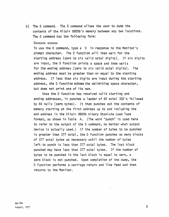b) The D command. The D command allows the user to dump the contents of the Altair 8800b's memory between any two locations. " The D command has the following form:

#### Dxxxxxx xxxxxx

To use the D command, type  $a \quad D \quad in$  response to the Monitor's prompt character. The D function will then wait for the starting address (zero to six valid octal digits). If six digits are input, the D function prints a space and then waits for the ending address (zero to six valid octal digits). The ending address must be greater than or equal to the starting address. If less than six digits are input during the starting address, the D function echoes the delimiting space character, but does not print one of its own.

Once the D function has received valid starting and ending addresses, it punches a leader of 60 octal 302's followed by 60 nulls (zero bytes). It then punches out the contents of memory starting at the first address up to and including the end address in the Altair 8800b binary Absolute Load Tape format, as shown in Table A. (The word "punch" is used here to refer to the output of the 0 command, no matter what output device is actually used.) If the number of bytes to be punched is greater than 377 octal, the 0 function punches as many blocks of 377 octal bytes as necessary until the number of bytes left to punch is less than 377 octal bytes. The last block punched may have less than 377 octal bytes. If the number of bytes to be punched in'the last block is equal to zero, a zero block is not punched. Upon completion of the dump, the D function performs a carriage return and line feed and then returns to the Monitor.

5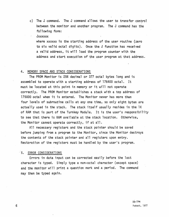c) The J command. The J command allows the user to transfer control between the monitor and another program. The J command has the following form:

Jxxxxxx

where xxxxxx is the starting address of the user routine (zero to six valid octal digits). Once the J function has received a valid address, it will load the program counter with the address and start execution of the user program at that address.

#### 4. MEMORY SPACE AND STACK CONSIDERATIONS

The PROM Monitor is 256 decimal or 377 octal bytes long and is assembled to operate with a starting address of 176400 octal. It must be located at this point in memory or it will not operate correctly. The PROM Monitor establishes a stack with a top address of 175000 octal when it is entered. The Monitor never has more than four levels of subroutine calls at anyone time, so only eight bytes are actually used in the stack. The stack itself usually resides in the 1K of RAM that is part of the Turnkey Module. It is the user's responsibility to see that there is RAM available at the stack location. Otherwise, the Monitor cannot operate correctly, if at all.

All necessary registers and the stack pointer should be saved before jumping from a program to the Monitor, since the Monitor destroys the contents of the stack pointer and all registers upon entry. Restoration of the registers must be handled by the user's program .

#### . 5. ERROR CONSIDERATIONS

Errors in data input can be corrected easily before the last character is typed. Simply type a non-octal character (except space) and the monitor will print a question mark and a period. The command may then be typed again.

6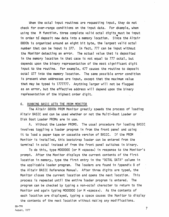When the octal input routines are requesting input, they do not check for over-range conditions on the input data. For example, when using the M function, three complete valid octal digits must be input in order to deposit new data into a memory location. Since the Altair 8800b is organized around an eight bit byte, the largest valid octal number that can be input is 377. In fact, 777 can be input without the Monitor detecting an error. The actual value that is deposited in the memory location in that case is not equal to *i77* octal, but depends upon the binary representation of the most significant digit input to the routine. For example, 477 causes the routine to deposit octal 077 into the memory location. The same possible error condition is present when addresses are input, except that the maximum value that may be typed is 1777777. Anything larger will not be flagged as an error, but the effective address will depend upon the binary representation of the highest order digit.

#### 6. RUNNING BASIC WITH THE PROM MONITOR

The Altair 8800b PROM Monitor greatly speeds the process of loading Altair BASIC and can be used whether or not the Multi-Boot Loader or Disk Boot Loader PROMs are in use.

A. Without the Loader PROMS. The usual procedure for loading BASIC involves toggling a loader program in from the front panel and using it to load a paper tape or cassette version of BASIC. If the PROM Monitor is installed, this bootstrap loader can be entered from the terminal in octal instead of from the front panel switches in binary.

To do this, type M000000 (or M <space>) in response to the Monitor's prompt. After the Monitor displays the current contents of the first location in memory, type the first entry in the "OCTAL DATA" column in the applicable loader program. The loaders are found in Appendix B of the Altair BASIC Reference Manual. After three digits are typed, the Monitor closes the current location and opens the next location. This process is repeated until the entire loader program is entered. The program can be checked by typing a non-octal character to return to the Monitor and again typing MOOOOOO (or M <space>). As the contents of each location are displayed. typing a space causes the Monitor to display the contents of the next location without making any modifications.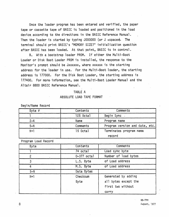Once the loader program has been entered and verified, the paper tape or cassette tape of BASIC is loaded and positioned in the load device according to the directions in the BASIC Reference Manual. Then the loader is started by typing  $J000000$  (or  $J$  <space>. The tenninal should print BASIC's "MEMORY SIZE?" initialization question after BASIC has been loaded. At that point, BASIC is in control.

B. With a bootstrap loader PROM. If either the Multi-Boot Loader or Disk Boot Loader PROM is installed, the response to the Monitor's prompt should be Jxxxxxx, where xxxxxx is the starting address for the loader in use. For the Multi-Boot·1oader, the starting address is 177000. For the Disk Boot Loader, the starting address is. 177400. For more information, see the Multi-Boot Loader Manual and the Altair 8800 BASIC Reference Manual.

## TABLE A ABSOLUTE LOAD TAPE FORMAT

Begin/Name Record

| Byte $#$ | Contents  | Comments                          |
|----------|-----------|-----------------------------------|
|          | 125 Octal | Begin Sync                        |
| $2 - 4$  | Name      | Program name                      |
| $5-N$    | Comments  | Program version and date, etc.    |
| $N+1$    | 15 Octal  | Terminates program name<br>record |

Program Load Record

| Byte           | Contents      | Comments             |
|----------------|---------------|----------------------|
|                | 74 octal      | Load sync byte       |
| $\overline{c}$ | $0-377$ octal | Number of load bytes |
| 3              | L.S. Byte     | of Load address      |
| $\mathbf{4}$   | M.S. Byte     | of Load address      |
| $5-N$          | Data Bytes    |                      |
| $N+1$          | Checksum      | Generated by adding  |
|                | Byte          | all bytes except the |
|                |               | first two without    |
|                |               | carry                |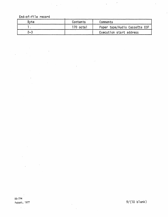End-of-file record

 $\ddot{\phantom{a}}$ 

 $\ddot{\phantom{a}}$ 

 $\mathcal{F}^{\text{max}}_{\text{max}}$ 

| <b>Byte</b> | Contents    | Comments                      |
|-------------|-------------|-------------------------------|
|             | $170$ octal | Paper tape/Audio Cassette EOF |
| $2 - 3$     |             | Execution start address       |

 $\sim 10$ 

 $\overline{1}$ 

 $\frac{1}{2}$ 

 $\mathcal{H}^{\text{c}}_{\text{c}}$  is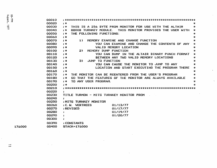| 00010 |                                                                                           |
|-------|-------------------------------------------------------------------------------------------|
| 00020 | 子长<br>46                                                                                  |
| 00030 | THIS IS A 256 BYTE PROM MONITOR FOR USE WITH THE ALTAIR<br>$\ast$<br>子计                   |
| 00040 | 8800B TURNKEY MODULE.<br>THIS MONITOR PROVIDES THE USER WITH<br>$\ddot{\textbf{r}}$<br>计计 |
| 00050 | THE FOLLOWING FUNCTIONS:<br>$+$<br>主法                                                     |
| 00060 | 丁计<br>*                                                                                   |
| 00070 | MEMORY EXAMINE AND CHANGE FUNCTION<br>主张<br>1)<br>$\ddot{\textbf{r}}$                     |
| 00080 | YOU CAN EXAMINE AND CHANGE THE CONTENTS OF ANY<br>$\ddot{\textbf{r}}$<br>子节               |
| 00090 | VALID MEMORY LOCATION<br>$\mathbf{r}$<br>主持                                               |
| 00100 | MEMORY DUMP FUNCTION<br>2)<br>*<br>子计                                                     |
| 00110 | YOU CAN DUMP IN THE ALTAIR BINARY PUNCH FORMAT<br>$\mathbf{H}$<br>计计                      |
| 00120 | BETWEEN ANY TWO VALID MEMORY LOCATIONS<br>$\mathbf{H}$<br>$j$ $M$                         |
| 00130 | JUMP TO FUNCTION<br>3) —<br>$+1$<br>$5 - 36$                                              |
| 00140 | YOU CAN CAUSE THE MONITOR TO JUMP TO ANY<br>$\star$<br>$1 - 36$                           |
| 00150 | LOCATION AND START EXECUTING THE PROGRAM THERE<br>*<br>$j$ $#$                            |
| 00160 | $\ast$<br>丁计                                                                              |
| 00170 | THE MONITOR CAN BE REENTERED FROM THE USER'S PROGRAM<br>$\ast$<br>子计                      |
| 00180 | SO THAT THE FEATURES OF THE MONITOR ARE ALWAYS AVAILABLE<br>$\pmb{\varkappa}$<br>主张       |
| 00190 | TO ANY USER PROGRAM.<br>$+$<br>主张                                                         |
| 00200 | 46<br>计计                                                                                  |
| 00210 |                                                                                           |
| 00220 | ÷.                                                                                        |
| 00230 | TITLE TURMON - MITS TURNKEY MONITOR PROM                                                  |
| 00240 | $\mathbf{r}$                                                                              |
| 00250 | <b>HITS TURNKEY MONITOR:</b>                                                              |
| 00260 | <b>G.W. VERTREES</b><br>01/13/77                                                          |
| 00270 | <b>; REVISED</b><br>01/17/77                                                              |
| 00280 | 01/19/77<br>$\ddot{\phantom{1}}$                                                          |
| 00290 | 01/20/77<br>ă.                                                                            |
| 00300 | $\mathbf{r}$                                                                              |
| 00390 | ; CONSTANTS                                                                               |
| 00400 | $STACK=176000$                                                                            |

 $\ddot{\phantom{a}}$ 

 $\ddot{\cdot}$ 

176000

 $\bar{\star}$  $\sim$   $\lambda$ 

 $\overline{\phantom{a}}$ 

 $\sim$ 

 $\sim$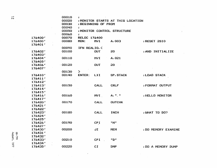| л<br>É<br>ے<br>с<br><b>in</b><br>сŧ | w<br>$\infty$<br>÷<br>บ<br>-2 |
|-------------------------------------|-------------------------------|
| ι<br>$\mathbf{N}$                   |                               |

| čupuś<br>c۲<br>é | <u>ထ</u><br>است<br>k<br>긫 |  |  |
|------------------|---------------------------|--|--|
| ω                |                           |  |  |

 $\mathcal{L}^{\text{max}}_{\text{max}}$ 

|        |         | 00010<br>j.<br>00020<br><b>IMONITOR STARTS AT THIS LOCATION</b><br>00030<br><b>BEGINNING OF PROM</b><br>00040<br>÷. |                                   |             |                  |                              |  |  |  |  |  |
|--------|---------|---------------------------------------------------------------------------------------------------------------------|-----------------------------------|-------------|------------------|------------------------------|--|--|--|--|--|
|        |         | 00050                                                                                                               | <b>IMONITOR CONTROL STRUCTURE</b> |             |                  |                              |  |  |  |  |  |
|        |         | 00060                                                                                                               | $\mathbf{r}$                      |             |                  |                              |  |  |  |  |  |
|        | 176400' | 00070                                                                                                               | <b>RELOC 176400</b>               |             |                  |                              |  |  |  |  |  |
|        | 176400' | 00080                                                                                                               | MON:                              | <b>NVI</b>  | A, 003           | <b>; RESET 2SIO</b>          |  |  |  |  |  |
|        | 176401' |                                                                                                                     |                                   |             |                  |                              |  |  |  |  |  |
|        |         | 00090                                                                                                               | IFN REALIO, <                     |             |                  |                              |  |  |  |  |  |
|        | 176402' | 00100                                                                                                               |                                   | <b>OUT</b>  | 20               | <b>; AND INITIALIZE</b>      |  |  |  |  |  |
|        | 176403' |                                                                                                                     |                                   |             |                  |                              |  |  |  |  |  |
|        | 176404' | 00110                                                                                                               |                                   | <b>MVI</b>  | A, 021           |                              |  |  |  |  |  |
|        | 176405' |                                                                                                                     |                                   |             |                  |                              |  |  |  |  |  |
|        | 176406' | 00120                                                                                                               |                                   | <b>OUT</b>  | 20               |                              |  |  |  |  |  |
|        | 176407' |                                                                                                                     |                                   |             |                  |                              |  |  |  |  |  |
|        |         | 00130                                                                                                               | $\rightarrow$                     |             |                  |                              |  |  |  |  |  |
|        | 176410' | 00140                                                                                                               | <b>ENTER:</b>                     | LXI         | <b>SP. STACK</b> | <b>LOAD STACK</b>            |  |  |  |  |  |
|        | 176411' |                                                                                                                     |                                   |             |                  |                              |  |  |  |  |  |
|        | 176412' |                                                                                                                     |                                   |             |                  |                              |  |  |  |  |  |
|        | 176413' | 00150                                                                                                               |                                   | CALL        | CRLF             | <b><i>i</i>FORMAT OUTPUT</b> |  |  |  |  |  |
|        | 176414' |                                                                                                                     |                                   |             |                  |                              |  |  |  |  |  |
|        | 176415' |                                                                                                                     |                                   |             |                  |                              |  |  |  |  |  |
|        | 176416' | 00160                                                                                                               |                                   | <b>MVI</b>  | A, "."           | <b>; HELLO MONITOR</b>       |  |  |  |  |  |
|        | 176417' |                                                                                                                     |                                   |             |                  |                              |  |  |  |  |  |
|        | 176420' | 00170                                                                                                               |                                   | CALL        | <b>DUTCHK</b>    |                              |  |  |  |  |  |
|        | 176421' |                                                                                                                     |                                   |             |                  |                              |  |  |  |  |  |
|        | 176422' |                                                                                                                     |                                   |             |                  |                              |  |  |  |  |  |
|        | 176423' | 00180                                                                                                               |                                   | <b>CALL</b> | <b>INCH</b>      | <b>; WHAT TO DO?</b>         |  |  |  |  |  |
|        | 176424' |                                                                                                                     |                                   |             |                  |                              |  |  |  |  |  |
|        | 176425' |                                                                                                                     |                                   |             |                  |                              |  |  |  |  |  |
|        | 176426' | 00190                                                                                                               |                                   | <b>CPI</b>  | "M"              |                              |  |  |  |  |  |
|        | 176427' |                                                                                                                     |                                   |             |                  |                              |  |  |  |  |  |
|        | 176430' | 00200                                                                                                               |                                   | JZ          | MEM              | <b>DO MEMORY EXAMINE</b>     |  |  |  |  |  |
|        | 176431' |                                                                                                                     |                                   |             |                  |                              |  |  |  |  |  |
| 88-TPM | 176432' |                                                                                                                     |                                   |             |                  |                              |  |  |  |  |  |
|        | 176433' | 00210                                                                                                               |                                   | <b>CPI</b>  | "D"              |                              |  |  |  |  |  |
|        | 176434' |                                                                                                                     |                                   |             |                  |                              |  |  |  |  |  |
|        | 176435' | 00220                                                                                                               |                                   | CZ          | <b>DMP</b>       | <b>; DO A MEMORY DUMP</b>    |  |  |  |  |  |
|        |         |                                                                                                                     |                                   |             |                  |                              |  |  |  |  |  |

 $\label{eq:2.1} \frac{1}{\sqrt{2}}\int_{0}^{\infty}\frac{1}{\sqrt{2\pi}}\left(\frac{1}{\sqrt{2\pi}}\right)^{2}d\mu\left(\frac{1}{\sqrt{2\pi}}\right) \frac{d\mu}{\sqrt{2\pi}}\,.$ 

 $\frac{1}{2}$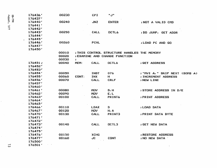| 176436' | 00230 |                      | <b>CPI</b>    | யிய                                         |                                   |
|---------|-------|----------------------|---------------|---------------------------------------------|-----------------------------------|
| 176437' |       |                      |               |                                             |                                   |
| 176440' | 00240 |                      | <b>JNZ</b>    | <b>ENTER</b>                                | <b>INOT A VALID CMD</b>           |
| 176441' |       |                      |               |                                             |                                   |
| 176442' |       |                      |               |                                             |                                   |
| 176443' | 00250 |                      | CALL          | <b>OCTL6</b>                                | DO JUMP, GET ADDR                 |
| 176444' |       |                      |               |                                             |                                   |
| 176445' |       |                      |               |                                             |                                   |
| 176446' | 00260 |                      | <b>PCHL</b>   |                                             | <b><i>ILDAD PC AND GO</i></b>     |
| 176447' |       |                      |               |                                             |                                   |
| 176450' |       |                      |               |                                             |                                   |
|         | 00010 |                      |               | ; THIS CONTROL STRUCTURE HANDLES THE MEMORY |                                   |
|         | 00020 |                      |               | <b>JEXAMINE AND CHANGE FUNCTION</b>         |                                   |
|         | 00030 | $\ddot{\phantom{1}}$ |               |                                             |                                   |
| 176451/ | 00040 | MEM:                 | CALL          | <b>OCTL6</b>                                | <b>GET ADDRESS</b>                |
| 176452' |       |                      |               |                                             |                                   |
| 176453' |       |                      |               |                                             |                                   |
| 176454' | 00050 |                      | <b>INST</b>   | 076                                         | ; "MVI A, " SKIP NEXT (BOMB A)    |
| 176455' | 00060 | CONT:                | INX           | H                                           | <b><i>i</i> INCREMENT ADDRESS</b> |
| 176456' | 00070 |                      | CALL          | CRLF                                        | <b><i>INEW LINE</i></b>           |
| 176457' |       |                      |               |                                             |                                   |
| 176460' |       |                      |               |                                             |                                   |
| 176461' | 00080 |                      | <b>MOV</b>    | D.H                                         | <b>; STORE ADDRESS IN D/E</b>     |
| 176462' | 00090 |                      | <b>MOV</b>    | E.L                                         |                                   |
| 176463' | 00100 |                      | CALL          | <b>PRINT6</b>                               | <b>; PRINT ADDRESS</b>            |
| 176464' |       |                      |               |                                             |                                   |
| 176465' |       |                      |               |                                             |                                   |
| 176466' | 00110 |                      | <b>LDAX</b>   | D                                           | <b>LOAD DATA</b>                  |
| 176467' | 00120 |                      | <b>MOV</b>    | H, A                                        |                                   |
| 176470' | 00130 |                      | CALL          | <b>PRINT3</b>                               | <b><i>IPRINT DATA BYTE</i></b>    |
| 176471' |       |                      |               |                                             |                                   |
| 176472' |       |                      |               |                                             |                                   |
| 176473' | 00140 |                      | CALL          | <b>DCTL3</b>                                | <b>GET NEW DATA</b>               |
| 176474' |       |                      |               |                                             |                                   |
| 176475' |       |                      |               |                                             |                                   |
| 176476' | 00150 |                      | <b>XCHG</b>   |                                             | <b>RESTORE ADDRESS</b>            |
| 176477' | 00160 |                      | <b>JC</b>     | <b>CONT</b>                                 | <b>IND NEW DATA :</b>             |
| 176500' |       |                      |               |                                             |                                   |
| 176501' |       |                      |               |                                             |                                   |
|         |       |                      | $\mathcal{I}$ |                                             |                                   |
|         |       |                      |               |                                             |                                   |

88-TPM<br>August, 1977

 $\ddot{\phantom{1}}$ 

 $\frac{1}{\sqrt{2}}$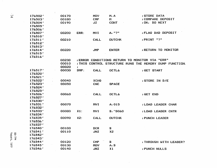| 176502' | 00170 |      | MOV         | M, A                                                  | <b>STORE DATA</b>                                       |
|---------|-------|------|-------------|-------------------------------------------------------|---------------------------------------------------------|
| 176503' | 00180 |      | CMP         | $\mathbf{M}$                                          | <b>: COMPARE DEPOSIT</b>                                |
| 176504' | 00190 |      | JΖ          | CONT                                                  | <b>; OK, DO NEXT</b>                                    |
| 176505' |       |      |             |                                                       |                                                         |
| 176506' |       |      |             |                                                       |                                                         |
| 176507' | 00200 | ERR: | NVI         | A, "?"                                                | <b>; FLAG BAD DEPOSIT</b>                               |
| 176510' |       |      |             |                                                       |                                                         |
| 176511' | 00210 |      | CALL        | <b>OUTCHK</b>                                         | iPRINT "?"                                              |
| 176512' |       |      |             |                                                       |                                                         |
| 176513' |       |      |             |                                                       |                                                         |
| 176514' | 00220 |      | <b>JMP</b>  | <b>ENTER</b>                                          | <b>RETURN TO MONITOR</b>                                |
| 176515' |       |      |             |                                                       |                                                         |
| 176516' |       |      |             |                                                       |                                                         |
|         | 00230 |      |             | <b>; ERROR CONDITIONS RETURN TO MONITOR VIA "ERR"</b> |                                                         |
|         | 00010 |      |             |                                                       | ; THIS CONTROL STRUCTURE RUNS THE MEMORY DUMP FUNCTION. |
|         | 00020 | ÷.   |             |                                                       |                                                         |
| 176517' | 00030 | DMP: | CALL        | <b>OCTL6</b>                                          | <b>GET START</b>                                        |
| 176520' |       |      |             |                                                       |                                                         |
| 176521' |       |      |             |                                                       |                                                         |
| 176522' | 00040 |      | <b>XCHG</b> |                                                       | <b>STORE IN D/E</b>                                     |
| 176523' | 00050 |      | <b>CNC</b>  | <b>SPACE</b>                                          |                                                         |
| 176524' |       |      |             |                                                       |                                                         |
| 176525' |       |      |             |                                                       |                                                         |
| 176526' | 00060 |      | CALL        | <b>OCTL6</b>                                          | <b>GET END</b>                                          |
| 176527' |       |      |             |                                                       |                                                         |
| 176530' |       |      |             |                                                       |                                                         |
| 176531' | 00070 |      | <b>MVI</b>  | A, 015                                                | <b>; LOAD LEADER CHAR</b>                               |
| 176532' |       |      |             |                                                       |                                                         |
| 176533' | 00080 | X1:  | <b>MVI</b>  | B. ^DO60                                              | <b>LOAD LEADER CNTR</b>                                 |
| 176534' |       |      |             |                                                       |                                                         |
| 176535' | 00090 | X2:  | CALL        | <b>OUTCHK</b>                                         | <b><i>I PUNCH LEADER</i></b>                            |
| 176536' |       |      |             |                                                       |                                                         |
| 176537' |       |      |             |                                                       |                                                         |
| 176540' | 00100 |      | <b>DCR</b>  | $\bf{B}$                                              |                                                         |
| 176541' | 00110 |      | <b>JNZ</b>  | X <sub>2</sub>                                        |                                                         |
| 176542' |       |      |             |                                                       |                                                         |
| 176543' |       |      |             |                                                       |                                                         |
| 176544' | 00120 |      | CMP         | $\bf{B}$                                              | <b>: THROUGH WITH LEADER?</b>                           |
| 176545' | 00130 |      | MOV         | A, B                                                  |                                                         |
| 176546' | 00140 |      | <b>JNZ</b>  | X1                                                    | <b><i>FUNCH NULLS</i></b>                               |
|         |       |      |             |                                                       |                                                         |

 $\frac{1}{2} \sum_{i=1}^{n} \frac{1}{2} \sum_{j=1}^{n} \frac{1}{2} \sum_{j=1}^{n} \frac{1}{2} \sum_{j=1}^{n} \frac{1}{2} \sum_{j=1}^{n} \frac{1}{2} \sum_{j=1}^{n} \frac{1}{2} \sum_{j=1}^{n} \frac{1}{2} \sum_{j=1}^{n} \frac{1}{2} \sum_{j=1}^{n} \frac{1}{2} \sum_{j=1}^{n} \frac{1}{2} \sum_{j=1}^{n} \frac{1}{2} \sum_{j=1}^{n} \frac{1}{2} \sum_{j=1}^{n$ 

 $\frac{1}{2}$ 

 $-14$ 

 $\frac{1}{2} \sum_{i=1}^{n} \frac{1}{2} \sum_{j=1}^{n} \frac{1}{2} \sum_{j=1}^{n} \frac{1}{2} \sum_{j=1}^{n} \frac{1}{2} \sum_{j=1}^{n} \frac{1}{2} \sum_{j=1}^{n} \frac{1}{2} \sum_{j=1}^{n} \frac{1}{2} \sum_{j=1}^{n} \frac{1}{2} \sum_{j=1}^{n} \frac{1}{2} \sum_{j=1}^{n} \frac{1}{2} \sum_{j=1}^{n} \frac{1}{2} \sum_{j=1}^{n} \frac{1}{2} \sum_{j=1}^{n$ 

 $\langle \cdot \rangle$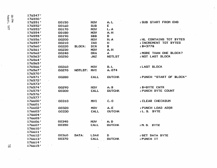| 176551' | 00150              |               | <b>MOV</b>  | A, L          | <b>; SUB START FROM END</b>   |
|---------|--------------------|---------------|-------------|---------------|-------------------------------|
| 176552' | 00160              |               | <b>SUB</b>  | E             |                               |
| 176553' | 00170              |               | MOV         | L, A          |                               |
| 176554' | 00180              |               | <b>MOV</b>  | A.H           |                               |
| 176555' | 00190              |               | <b>SBB</b>  | D             |                               |
| 176556' | 00200              |               | <b>MDV</b>  | H, A          | <b>HL CONTAINS TOT BYTES</b>  |
| 176557' | 00210              |               | INX         | H             | <b>; INCREMENT TOT BYTES</b>  |
| 176560' | 00220              | <b>BLOCK:</b> | <b>DCR</b>  | B             | $; B = 3770$                  |
| 176561' | 00230              |               | MOV         | A.H           |                               |
| 176562' | 00240              |               | <b>ORA</b>  | A             | <b>I MORE THAN ONE BLOCK?</b> |
| 176563' | 00250              |               | <b>JNZ</b>  | <b>NOTLST</b> | <b>INOT LAST BLOCK</b>        |
| 176564' |                    |               |             |               |                               |
| 176565' |                    |               |             |               |                               |
| 176566' | 00260              |               | <b>MOV</b>  | B. L          | <b><i>i</i>LAST BLOCK</b>     |
| 176567' | 00270              |               | <b>MVI</b>  | A. 074        |                               |
| 176570' |                    |               |             |               |                               |
| 176571' | 00280              |               | CALL        | <b>OUTCHK</b> | <b>FUNCH "START OF BLOCK"</b> |
| 176572' |                    |               |             |               |                               |
| 176573' |                    |               |             |               |                               |
| 176574' | 00290              |               | VOM         | A, B          | <b>B=BYTE CNTR</b>            |
| 176575' | 00300              |               | CALL        | <b>QUTCHK</b> | <b>FUNCH BYTE COUNT</b>       |
| 176576' |                    |               |             |               |                               |
| 176577' |                    |               |             |               |                               |
| 176600' | 00310              |               | <b>MVI</b>  | C, O          | <b>; CLEAR CHECKSUM</b>       |
| 176601' |                    |               |             |               |                               |
| 176602' | 00320              |               | MOV         | A, E          | <b>FUNCH LOAD ADDR</b>        |
| 176603' | 00330              |               | CALL        | <b>DUTCHK</b> | <i>i</i> L.S. BYTE            |
| 176604' |                    |               |             |               |                               |
| 176605' |                    |               |             |               |                               |
| 176606' | 00340              |               | <b>MOV</b>  | A, D          |                               |
| 176607' | 00350              |               | <b>CALL</b> | <b>OUTCHK</b> | IM.S. BYTE                    |
| 176610' |                    |               |             |               |                               |
| 176611' |                    |               |             |               |                               |
| 176612' | 00360              | DATA:         | <b>LDAX</b> | D             | <b>JGET DATA BYTE</b>         |
| 176613' | 00370              |               | <b>CALL</b> | <b>DUTCHK</b> | <b><i>i</i>PUNCH IT</b>       |
| 176614' |                    |               |             |               |                               |
| 176615' |                    |               |             |               |                               |
|         | 176547'<br>176550' |               |             | NOTLST:       |                               |

 $\ddot{\ddot{}}$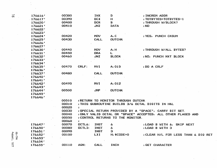| 176616' | 00380 |              | <b>INX</b>  | D                                 | <b>; INCREM ADDR</b>                                          |
|---------|-------|--------------|-------------|-----------------------------------|---------------------------------------------------------------|
| 176617' | 00390 |              | <b>DCX</b>  | $\bf{H}$                          | ; TOTBYTES=TOTBYTES-1                                         |
| 176620' | 00400 |              | <b>DCR</b>  | $\mathbf{B}$                      | <b>FTHROUGH W/BLOCK?</b>                                      |
| 176621' | 00410 |              | <b>JNZ</b>  | <b>DATA</b>                       | i NO                                                          |
| 176622' |       |              |             |                                   |                                                               |
| 176623' |       |              |             |                                   |                                                               |
| 176624' | 00420 |              | <b>MOV</b>  | A, C                              | <b>; YES, PUNCH CKSUM</b>                                     |
| 176625' | 00430 |              | <b>CALL</b> | <b>OUTCHK</b>                     |                                                               |
| 176626' |       |              |             |                                   |                                                               |
| 176627' |       |              |             |                                   |                                                               |
| 176630' | 00440 |              | <b>MOV</b>  | A, H                              | ; THROUGH W/ALL BYTES?                                        |
| 176631' | 00450 |              | ORA         | L                                 |                                                               |
| 176632' | 00460 |              | <b>JNZ</b>  | <b>BLOCK</b>                      | <b>INO, PUNCH NXT BLOCK</b>                                   |
| 176633' |       |              |             |                                   |                                                               |
| 176634' |       |              |             |                                   |                                                               |
| 176635' | 00470 | CRLF:        | MVI         | A.015                             | <b>DO A CRLF</b>                                              |
| 176636' |       |              |             |                                   |                                                               |
| 176637' | 00480 |              | CALL        | <b>QUTCHK</b>                     |                                                               |
| 176640' |       |              |             |                                   |                                                               |
| 176641' |       |              |             |                                   |                                                               |
| 176642' | 00490 |              | <b>MVI</b>  | A, 012                            |                                                               |
| 176643' |       |              |             |                                   |                                                               |
| 176644' | 00500 |              | <b>JMP</b>  | <b>OUTCHK</b>                     |                                                               |
| 176645' |       |              |             |                                   |                                                               |
| 176646' |       |              |             |                                   |                                                               |
|         | 00510 |              |             | RETURN TO MONITOR THROUGH OUTCHK  |                                                               |
|         | 00010 |              |             |                                   | ; THIS SUBROUTINE BUILDS 3/6 OCTAL DIGITS IN H&L              |
|         | 00020 | $\mathbf{r}$ |             |                                   |                                                               |
|         | 00030 |              |             |                                   | <b>; SPECIAL RETURN PROVIDED BY A "SPACE", CARRY BIT SET.</b> |
|         | 00040 |              |             |                                   | ; ONLY VALID OCTAL OR "SPACE" ACCEPTED, ALL OTHER FLAGED AND  |
|         | 00050 |              |             | ; CONTROL RETURNS TO THE MONITOR. |                                                               |
|         | 00060 | $\mathbf{r}$ |             |                                   |                                                               |
| 176647' | 00070 | DCTL6:       | <b>INST</b> | 6                                 | <b>ILDAD B WITH 6, SKIP NEXT</b>                              |
| 176650' | 00080 | OCTL3:       | <b>INST</b> | 6                                 | <b>ILOAD B WITH 3</b>                                         |
| 176651' | 00090 |              | <b>INST</b> | з                                 |                                                               |
| 176652' | 00100 |              | <b>LXI</b>  | H. \$CODE+0                       | ; CLEAR H/L FOR LESS THAN 6 DIG RET                           |
| 176653' |       |              |             |                                   |                                                               |
|         |       |              |             |                                   |                                                               |
| 176654' |       |              |             |                                   |                                                               |
| 176655' | 00110 | AGN:         | CALL        | INCH                              | <b>GET CHARACTER</b>                                          |

 $\hat{\mathcal{A}}$ 

 $\hat{A}$ 

 $\mathcal{A}_{\mathcal{A}}$ 

 $\mathcal{N}$ 

 $\vec{q}$ 

 $\frac{1}{2}$ 

 $\bar{z}$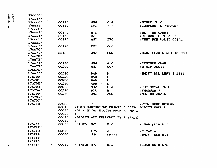| 176656' |                                       |                                         |                           |                                               |
|---------|---------------------------------------|-----------------------------------------|---------------------------|-----------------------------------------------|
| 176657' |                                       |                                         |                           |                                               |
| 176660' | 00120                                 | <b>MOV</b>                              | C, A                      | <b>STORE IN C</b>                             |
| 176661' | 00130                                 | <b>CPI</b>                              | $\mathbf{u} = \mathbf{u}$ | <b>; COMPARE TO "SPACE"</b>                   |
| 176662' |                                       |                                         |                           |                                               |
| 176663' | 00140                                 | <b>STC</b>                              |                           | <b>SET THE CARRY</b>                          |
| 176664' | 00150                                 | <b>RZ</b>                               |                           | <b>IRETURN IF "SPACE"</b>                     |
| 176665' | 00160                                 | ANI                                     | 270                       | <b>J TEST FOR VALID OCTAL</b>                 |
| 176666' |                                       |                                         |                           |                                               |
| 176667' | 00170                                 | XRI                                     | 060                       |                                               |
| 176670' |                                       |                                         |                           |                                               |
| 176671' | 00180                                 | <b>JNZ</b>                              | <b>ERR</b>                | <b>FBAD, FLAG &amp; RET TO MON</b>            |
| 176672' |                                       |                                         |                           |                                               |
| 176673' |                                       |                                         |                           |                                               |
| 176674' | 00190                                 | <b>MOV</b>                              | A, C                      | <b><i>I RESTORE CHAR</i></b>                  |
| 176675' | 00200                                 | ANI                                     | 007                       | <b>STRIP ASCII</b>                            |
| 176676' |                                       |                                         |                           |                                               |
| 176677' | 00210                                 | <b>DAD</b>                              | H                         | <b>SHIFT H&amp;L LEFT 3 BITS</b>              |
| 176700' | 00220                                 | <b>DAD</b>                              | $\mathbf{H}$              |                                               |
| 176701' | 00230                                 | <b>DAD</b>                              | $\mathbf{H}$              |                                               |
| 176702' | 00240                                 | <b>ADD</b><br>$\mathcal{L}^{\pm}$       | L                         |                                               |
| 176703' | 00250                                 | <b>MOV</b>                              | L, A                      | <b>FUT OCTAL IN H</b>                         |
| 176704' | 00260                                 | <b>DCR</b>                              | B                         | ; THROUGH ?                                   |
| 176705' | 00270                                 | <b>JNZ</b>                              | <b>AGN</b>                | INO, DO AGAIN                                 |
| 176706' |                                       |                                         |                           |                                               |
| 176707' |                                       |                                         |                           |                                               |
| 176710' | 00280                                 | <b>RET</b>                              |                           | <b>; YES, NORM RETURN</b>                     |
|         | 00010                                 |                                         |                           | FTHIS SUBROUTINE PRINTS 3 OCTAL DIGITS FROM H |
|         | 00020                                 | <b>; OR 6 OCTAL DIGITS FROM H AND L</b> |                           |                                               |
|         | 00030                                 | Ĵ.                                      |                           |                                               |
|         | 00040                                 | <b>; DIGITS ARE FOLLOWED BY A SPACE</b> |                           |                                               |
|         | 00050                                 | Ĵ.                                      |                           |                                               |
| 176711' | 00060                                 | PRINT6: MVI                             | B, G                      | <b>ILDAD CNTR W/6</b>                         |
| 176712' |                                       |                                         |                           |                                               |
| 176713' | 00070                                 | <b>XRA</b>                              | A.                        | <b>; CLEAR A</b>                              |
| 176714' | 00080                                 | <b>JMP</b>                              | NEXT1                     | <b>; SHIFT ONE BIT</b>                        |
| 176715' |                                       |                                         |                           |                                               |
| 176716' |                                       |                                         |                           |                                               |
| 176717' | 00090<br>$\mathbf{t} = -\mathbf{u}$ . | PRINT3: MVI                             | B, 3                      | <b>ILDAD CNTR W/3</b>                         |

 $\mathcal{A}$ 

 $\sim$ 

 $\hat{\mathcal{A}}$ 

 $\mathcal{L}_{\mathcal{A}}$ 

 $\mathcal{A}^{\mathcal{A}}$ 

38-TPM<br>August, 1977

 $\ddot{\phantom{a}}$ 

 $\mathcal{A}^{\mathcal{A}}$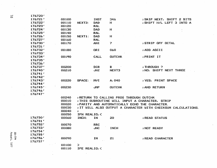| 176720' |       |                       |             |                                               |                                                               |
|---------|-------|-----------------------|-------------|-----------------------------------------------|---------------------------------------------------------------|
| 176721' | 00100 |                       | <b>INST</b> | 346                                           | <b>; SKIP NEXT, SHIFT 2 BITS</b>                              |
| 176722' | 00110 | NEXT3:                | DAD         | H                                             | <b>; SHIFT H/L LEFT 3 INTO A</b>                              |
| 176723' | 00120 |                       | <b>RAL</b>  |                                               |                                                               |
| 176724' | 00130 |                       | <b>DAD</b>  | $\mathbf{H}$                                  |                                                               |
| 176725' | 00140 |                       | <b>RAL</b>  |                                               |                                                               |
| 176726' | 00150 | NEXT1:                | <b>DAD</b>  | H                                             |                                                               |
| 176727' | 00160 |                       | <b>RAL</b>  |                                               |                                                               |
| 176730' | 00170 |                       | ANI         | $\overline{\mathbf{z}}$                       | <b>STRIP OFF OCTAL</b>                                        |
| 176731' |       |                       |             |                                               |                                                               |
| 176732' | 00180 |                       | ORI         | 060                                           | <b>ADD ASCII</b>                                              |
| 176733' |       |                       |             |                                               |                                                               |
| 176734' | 00190 |                       | <b>CALL</b> | <b>OUTCHK</b>                                 | <b>; PRINT IT</b>                                             |
| 176735' |       |                       |             |                                               |                                                               |
| 176736' |       |                       |             |                                               |                                                               |
| 176737' | 00200 |                       | <b>DCR</b>  | $\mathbf{B}$                                  | ; THROUGH ?                                                   |
| 176740' | 00210 |                       | <b>JNZ</b>  | <b>NEXT3</b>                                  | <b>INO, SHIFT NEXT THREE</b>                                  |
| 176741' |       |                       |             |                                               |                                                               |
| 176742' |       |                       |             |                                               |                                                               |
| 176743' | 00220 | SPACE:                | MVI         | A. 040                                        | <b>; YES, PRINT SPACE</b>                                     |
| 176744' |       |                       |             |                                               |                                                               |
| 176745' | 00230 |                       | <b>JMP</b>  | <b>OUTCHK</b>                                 | <b>; AND RETURN</b>                                           |
| 176746' |       |                       |             |                                               |                                                               |
| 176747' |       |                       |             |                                               |                                                               |
|         | 00240 |                       |             | <b>FRETURN TO CALLING PROG THROUGH OUTCHK</b> |                                                               |
|         | 00010 |                       |             |                                               | FIHIS SUBROUTINE WILL INPUT A CHARACTER, STRIP                |
|         | 00020 |                       |             |                                               | FARITY AND AUTOMATICALLY ECHO THE CHARACTER.                  |
|         | 00030 |                       |             |                                               | ; IT WILL ALSO OUTPUT A CHARACTER WITH CHECKSUM CALCULATIONS. |
|         | 00040 | J.                    |             |                                               |                                                               |
|         | 00050 | IFN REALIO, <         |             |                                               |                                                               |
| 176750' | 00060 | INGH:                 | IN          | 20                                            | <b>READ STATUS</b>                                            |
| 176751' |       |                       |             |                                               |                                                               |
| 176752' | 00070 |                       | <b>RRC</b>  |                                               |                                                               |
| 176753' | 00080 |                       | <b>JNC</b>  | <b>INCH</b>                                   | <b>; NOT READY</b>                                            |
| 176754' |       |                       |             |                                               |                                                               |
| 176755' |       |                       |             |                                               |                                                               |
| 176756' | 00090 |                       | <b>IN</b>   | 21                                            | <b><i>I READ CHARACTER</i></b>                                |
| 176757' |       |                       |             |                                               |                                                               |
|         | 00100 | $\blacktriangleright$ |             |                                               |                                                               |
|         | 00110 | IFE REALIO, $\zeta$   |             |                                               |                                                               |

 $\ddot{\phantom{a}}$ 

 $\hat{\mathcal{F}}$ 

 $\vec{\infty}$ 

 $\bar{z}$  $\ddot{\phantom{a}}$ 

88-TPM<br>August, 1977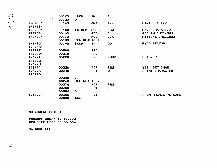|         | 00120 | INCH:         | IN         | 1            |                            |
|---------|-------|---------------|------------|--------------|----------------------------|
|         | 00130 | $\mathcal{P}$ |            |              |                            |
| 176760' | 00140 |               | ANI        | 177          | <b>STRIP PARITY</b>        |
| 176761' |       |               |            |              |                            |
| 176762' | 00150 | OUTCHK:       | PUSH       | <b>PSW</b>   | <b>; SAVE CHARACTER</b>    |
| 176763' | 00160 |               | <b>ADD</b> | $\mathbf{C}$ | <b>: ADD IN CHECKSUM</b>   |
| 176764' | 00170 |               | MOV        | C, A         | <b>; RESTORE CHECKSUM</b>  |
|         | 00180 | IFN REALIO, < |            |              |                            |
| 176765' | 00190 | LOOP:         | IN         | 20           | <b>; READ STATUS</b>       |
| 176766' |       |               |            |              |                            |
| 176767' | 00200 |               | <b>RRC</b> |              |                            |
| 176770' | 00210 |               | <b>RRC</b> |              |                            |
| 176771' | 00220 |               | <b>JNC</b> | LOOP         | READY?                     |
| 176772' |       |               |            |              |                            |
| 176773' |       |               |            |              |                            |
| 176774' | 00230 |               | <b>POP</b> | PSW          | GET CHAR<br>; YES,         |
| 176775' | 00240 |               | <b>DUT</b> | 21           | <b>; PRINT CHARACTER</b>   |
| 176776' |       |               |            |              |                            |
|         | 00250 | $\rightarrow$ |            |              |                            |
|         | 00260 | <b>IFE</b>    | REALIO. <  |              |                            |
|         | 00270 |               | POP        | PSW          |                            |
|         | 00280 |               | <b>OUT</b> | 1            |                            |
|         | 00290 | $\rightarrow$ |            |              |                            |
| 176777' | 00300 |               | <b>RET</b> |              | <b>FROM WHENCE YE CAME</b> |
|         | 00080 | <b>END</b>    |            |              |                            |
|         |       |               |            |              |                            |

 $\sim$ 

 $\mathbf{r}$ 

#### NO ERRORS DETECTED

PROGRAM BREAK IS 177000 CPU TIME USED 00:05.334

4K CORE USED

 $\mathcal{A}$ 

38-TPM<br>August, 1977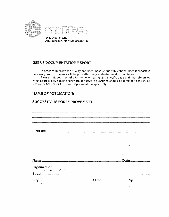



Albuquerque, New Mexico 87106

### **USER'S DOCUMENTATION REPORT**

In order to improve the quality and usefulness of our publications, user feedback is necessary. Your comments will help us effectively evaluate our documentation.

Please limit your remarks to the document, giving specific page and line references when appropriate. Specific hardware or software questions should be directed to the MITS Customer Service or Software Departments, respectively.

| NAME OF PUBLICATION: |                                                                                                                      |                                              |  |  |
|----------------------|----------------------------------------------------------------------------------------------------------------------|----------------------------------------------|--|--|
|                      | SUGGESTIONS FOR IMPROVEMENT:                                                                                         |                                              |  |  |
|                      |                                                                                                                      |                                              |  |  |
|                      |                                                                                                                      |                                              |  |  |
|                      |                                                                                                                      |                                              |  |  |
|                      | <u> 1989 - Johann John Harry Harry Harry Harry Harry Harry Harry Harry Harry Harry Harry Harry Harry Harry Harry</u> |                                              |  |  |
|                      |                                                                                                                      |                                              |  |  |
|                      |                                                                                                                      | the control of the control of the control of |  |  |
|                      |                                                                                                                      |                                              |  |  |
|                      |                                                                                                                      |                                              |  |  |
|                      | n.<br>Senara Senara Senara Senara Senara Senara Senara Senara Senara Senara Senara Senara Senara Senara Senara Senar |                                              |  |  |
|                      |                                                                                                                      |                                              |  |  |
|                      |                                                                                                                      |                                              |  |  |
|                      | Name                                                                                                                 | Date                                         |  |  |
|                      | Organization                                                                                                         |                                              |  |  |
|                      | Street                                                                                                               |                                              |  |  |
|                      | City Zip                                                                                                             |                                              |  |  |
|                      |                                                                                                                      |                                              |  |  |
|                      |                                                                                                                      |                                              |  |  |
|                      |                                                                                                                      |                                              |  |  |
|                      |                                                                                                                      |                                              |  |  |
|                      |                                                                                                                      |                                              |  |  |
|                      |                                                                                                                      |                                              |  |  |
|                      |                                                                                                                      |                                              |  |  |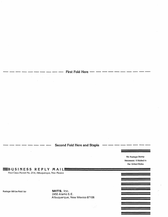—— — — — — — — — — First Fold Here — — — — — — — — — — —

## **Second Fold Here and Staple**

 $\mathcal{L}_{\mathcal{A}}$ 

 $\frac{1}{2}$  ,  $\frac{1}{2}$  ,

No Postage Stamp Necessary If Mailed in the United States

## ~BUSINESS **REPLY** MAIL~~~~~~~~~~~~~~~~~=

First Class Permit No. 2114, Albuquerque, New Mexico

. .

 $\sim 10^{11}$  m  $^{-1}$  .

Postage Will be Paid by: **MITS**, **Inc.** 2450 Alamo S.E. Albuquerque, New Mexico 87106'